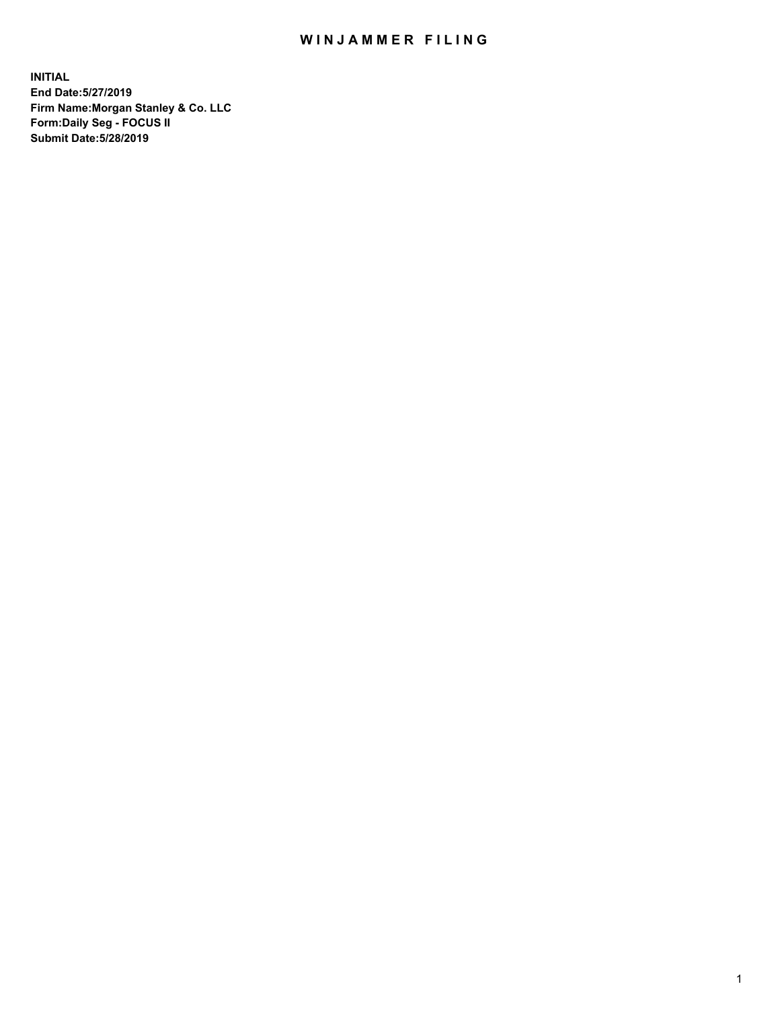## WIN JAMMER FILING

**INITIAL End Date:5/27/2019 Firm Name:Morgan Stanley & Co. LLC Form:Daily Seg - FOCUS II Submit Date:5/28/2019**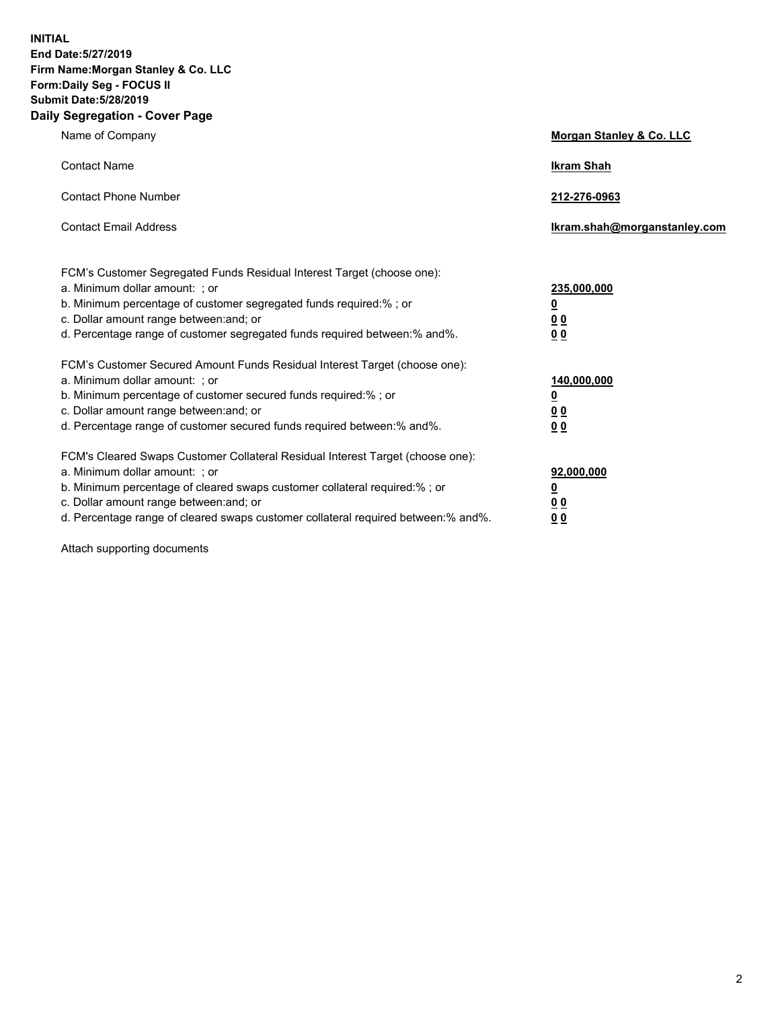**INITIAL End Date:5/27/2019 Firm Name:Morgan Stanley & Co. LLC Form:Daily Seg - FOCUS II Submit Date:5/28/2019 Daily Segregation - Cover Page**

| Name of Company                                                                                                                                                                                                                                                                                                                | Morgan Stanley & Co. LLC                                    |
|--------------------------------------------------------------------------------------------------------------------------------------------------------------------------------------------------------------------------------------------------------------------------------------------------------------------------------|-------------------------------------------------------------|
| <b>Contact Name</b>                                                                                                                                                                                                                                                                                                            | <b>Ikram Shah</b>                                           |
| <b>Contact Phone Number</b>                                                                                                                                                                                                                                                                                                    | 212-276-0963                                                |
| <b>Contact Email Address</b>                                                                                                                                                                                                                                                                                                   | Ikram.shah@morganstanley.com                                |
| FCM's Customer Segregated Funds Residual Interest Target (choose one):<br>a. Minimum dollar amount: ; or<br>b. Minimum percentage of customer segregated funds required:% ; or<br>c. Dollar amount range between: and; or<br>d. Percentage range of customer segregated funds required between:% and%.                         | 235,000,000<br><u>0</u><br>0 <sub>0</sub><br>0 <sub>0</sub> |
| FCM's Customer Secured Amount Funds Residual Interest Target (choose one):<br>a. Minimum dollar amount: ; or<br>b. Minimum percentage of customer secured funds required:%; or<br>c. Dollar amount range between: and; or<br>d. Percentage range of customer secured funds required between:% and%.                            | 140,000,000<br><u>0</u><br>0 <sub>0</sub><br>0 <sub>0</sub> |
| FCM's Cleared Swaps Customer Collateral Residual Interest Target (choose one):<br>a. Minimum dollar amount: ; or<br>b. Minimum percentage of cleared swaps customer collateral required:% ; or<br>c. Dollar amount range between: and; or<br>d. Percentage range of cleared swaps customer collateral required between:% and%. | 92,000,000<br><u>0</u><br><u>0 0</u><br>00                  |

Attach supporting documents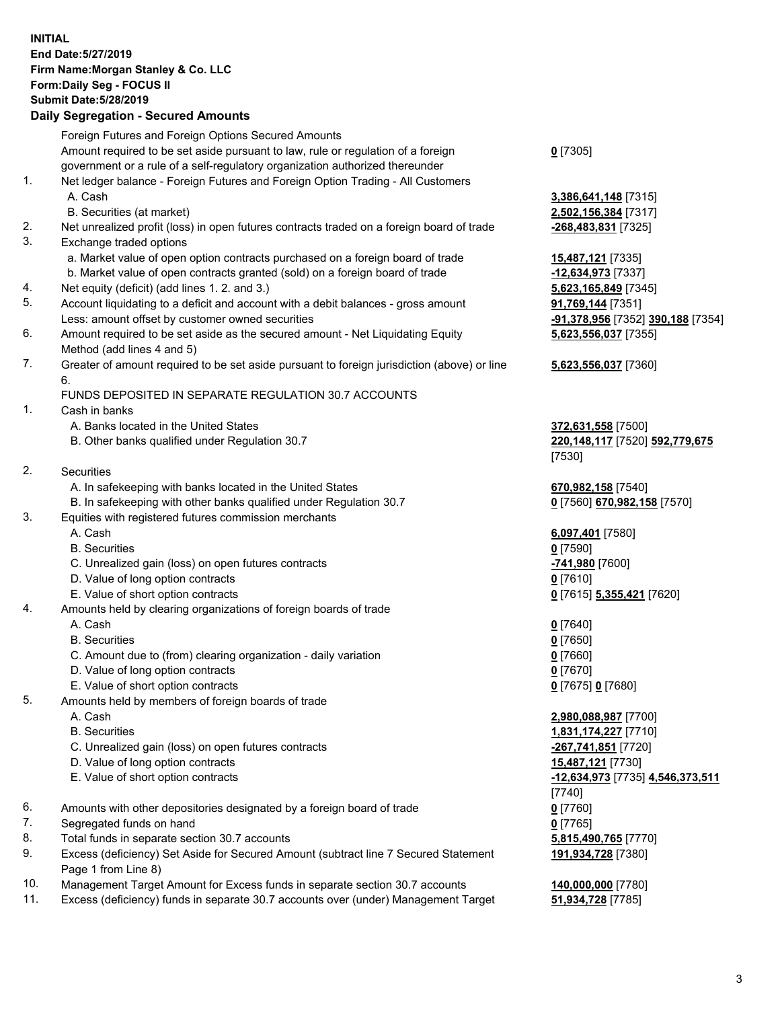## **INITIAL End Date:5/27/2019 Firm Name:Morgan Stanley & Co. LLC Form:Daily Seg - FOCUS II Submit Date:5/28/2019 Daily Segregation - Secured Amounts**

Foreign Futures and Foreign Options Secured Amounts Amount required to be set aside pursuant to law, rule or regulation of a foreign government or a rule of a self-regulatory organization authorized thereunder 1. Net ledger balance - Foreign Futures and Foreign Option Trading - All Customers A. Cash **3,386,641,148** [7315] B. Securities (at market) **2,502,156,384** [7317] 2. Net unrealized profit (loss) in open futures contracts traded on a foreign board of trade **-268,483,831** [7325] 3. Exchange traded options a. Market value of open option contracts purchased on a foreign board of trade **15,487,121** [7335] b. Market value of open contracts granted (sold) on a foreign board of trade **-12,634,973** [7337] 4. Net equity (deficit) (add lines 1. 2. and 3.) **5,623,165,849** [7345] 5. Account liquidating to a deficit and account with a debit balances - gross amount **91,769,144** [7351] Less: amount offset by customer owned securities **-91,378,956** [7352] **390,188** [7354] 6. Amount required to be set aside as the secured amount - Net Liquidating Equity Method (add lines 4 and 5) 7. Greater of amount required to be set aside pursuant to foreign jurisdiction (above) or line 6. FUNDS DEPOSITED IN SEPARATE REGULATION 30.7 ACCOUNTS 1. Cash in banks A. Banks located in the United States **372,631,558** [7500] B. Other banks qualified under Regulation 30.7 **220,148,117** [7520] **592,779,675** [7530] 2. Securities A. In safekeeping with banks located in the United States **670,982,158** [7540] B. In safekeeping with other banks qualified under Regulation 30.7 **0** [7560] **670,982,158** [7570] 3. Equities with registered futures commission merchants A. Cash **6,097,401** [7580] B. Securities **0** [7590] C. Unrealized gain (loss) on open futures contracts **-741,980** [7600] D. Value of long option contracts **0** [7610] E. Value of short option contracts **0** [7615] **5,355,421** [7620] 4. Amounts held by clearing organizations of foreign boards of trade A. Cash **0** [7640] B. Securities **0** [7650] C. Amount due to (from) clearing organization - daily variation **0** [7660] D. Value of long option contracts **0** [7670] E. Value of short option contracts **0** [7675] **0** [7680] 5. Amounts held by members of foreign boards of trade A. Cash **2,980,088,987** [7700] B. Securities **1,831,174,227** [7710] C. Unrealized gain (loss) on open futures contracts **-267,741,851** [7720] D. Value of long option contracts **15,487,121** [7730] E. Value of short option contracts **-12,634,973** [7735] **4,546,373,511** [7740]

- 6. Amounts with other depositories designated by a foreign board of trade **0** [7760]
- 7. Segregated funds on hand **0** [7765]
- 8. Total funds in separate section 30.7 accounts **5,815,490,765** [7770]
- 9. Excess (deficiency) Set Aside for Secured Amount (subtract line 7 Secured Statement Page 1 from Line 8)
- 10. Management Target Amount for Excess funds in separate section 30.7 accounts **140,000,000** [7780]
- 11. Excess (deficiency) funds in separate 30.7 accounts over (under) Management Target **51,934,728** [7785]

**0** [7305]

**5,623,556,037** [7355]

## **5,623,556,037** [7360]

**191,934,728** [7380]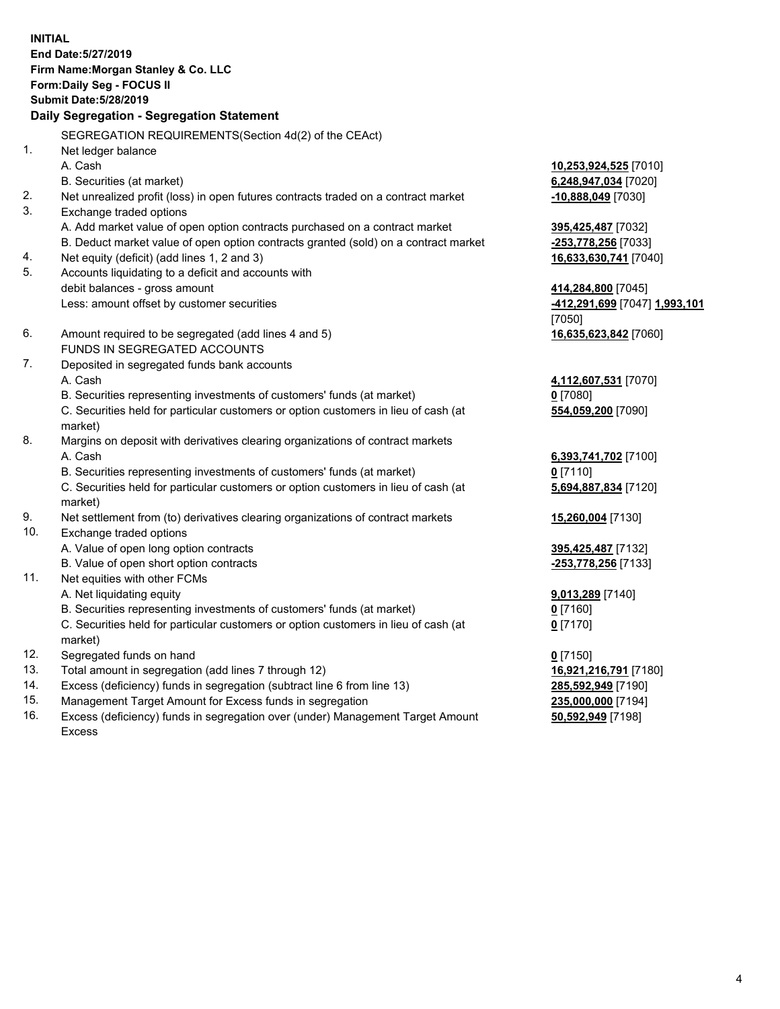**INITIAL End Date:5/27/2019 Firm Name:Morgan Stanley & Co. LLC Form:Daily Seg - FOCUS II Submit Date:5/28/2019 Daily Segregation - Segregation Statement** SEGREGATION REQUIREMENTS(Section 4d(2) of the CEAct) 1. Net ledger balance A. Cash **10,253,924,525** [7010] B. Securities (at market) **6,248,947,034** [7020] 2. Net unrealized profit (loss) in open futures contracts traded on a contract market **-10,888,049** [7030] 3. Exchange traded options A. Add market value of open option contracts purchased on a contract market **395,425,487** [7032] B. Deduct market value of open option contracts granted (sold) on a contract market **-253,778,256** [7033] 4. Net equity (deficit) (add lines 1, 2 and 3) **16,633,630,741** [7040] 5. Accounts liquidating to a deficit and accounts with debit balances - gross amount **414,284,800** [7045] Less: amount offset by customer securities **-412,291,699** [7047] **1,993,101** [7050] 6. Amount required to be segregated (add lines 4 and 5) **16,635,623,842** [7060] FUNDS IN SEGREGATED ACCOUNTS 7. Deposited in segregated funds bank accounts A. Cash **4,112,607,531** [7070] B. Securities representing investments of customers' funds (at market) **0** [7080] C. Securities held for particular customers or option customers in lieu of cash (at market) **554,059,200** [7090] 8. Margins on deposit with derivatives clearing organizations of contract markets A. Cash **6,393,741,702** [7100] B. Securities representing investments of customers' funds (at market) **0** [7110] C. Securities held for particular customers or option customers in lieu of cash (at market) **5,694,887,834** [7120] 9. Net settlement from (to) derivatives clearing organizations of contract markets **15,260,004** [7130] 10. Exchange traded options A. Value of open long option contracts **395,425,487** [7132] B. Value of open short option contracts **-253,778,256** [7133] 11. Net equities with other FCMs A. Net liquidating equity **9,013,289** [7140] B. Securities representing investments of customers' funds (at market) **0** [7160] C. Securities held for particular customers or option customers in lieu of cash (at market) **0** [7170] 12. Segregated funds on hand **0** [7150] 13. Total amount in segregation (add lines 7 through 12) **16,921,216,791** [7180] 14. Excess (deficiency) funds in segregation (subtract line 6 from line 13) **285,592,949** [7190]

- 15. Management Target Amount for Excess funds in segregation **235,000,000** [7194]
- 16. Excess (deficiency) funds in segregation over (under) Management Target Amount Excess

**50,592,949** [7198]